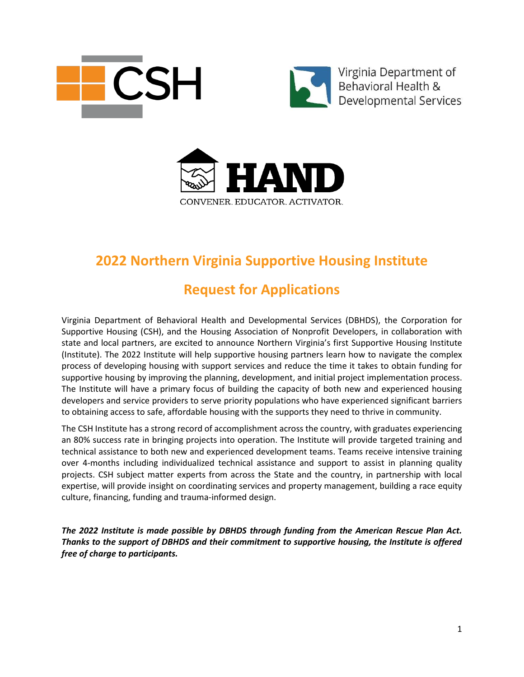





# **2022 Northern Virginia Supportive Housing Institute**

# **Request for Applications**

Virginia Department of Behavioral Health and Developmental Services (DBHDS), the Corporation for Supportive Housing (CSH), and the Housing Association of Nonprofit Developers, in collaboration with state and local partners, are excited to announce Northern Virginia's first Supportive Housing Institute (Institute). The 2022 Institute will help supportive housing partners learn how to navigate the complex process of developing housing with support services and reduce the time it takes to obtain funding for supportive housing by improving the planning, development, and initial project implementation process. The Institute will have a primary focus of building the capacity of both new and experienced housing developers and service providers to serve priority populations who have experienced significant barriers to obtaining access to safe, affordable housing with the supports they need to thrive in community.

The CSH Institute has a strong record of accomplishment across the country, with graduates experiencing an 80% success rate in bringing projects into operation. The Institute will provide targeted training and technical assistance to both new and experienced development teams. Teams receive intensive training over 4-months including individualized technical assistance and support to assist in planning quality projects. CSH subject matter experts from across the State and the country, in partnership with local expertise, will provide insight on coordinating services and property management, building a race equity culture, financing, funding and trauma-informed design.

*The 2022 Institute is made possible by DBHDS through funding from the American Rescue Plan Act. Thanks to the support of DBHDS and their commitment to supportive housing, the Institute is offered free of charge to participants.*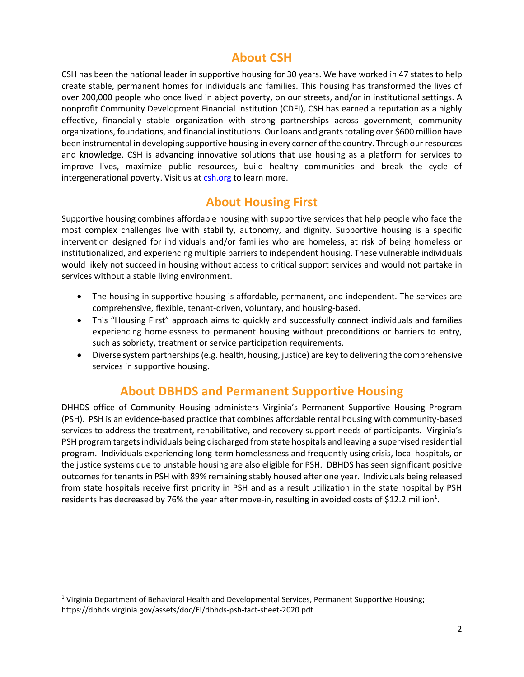#### **About CSH**

CSH has been the national leader in supportive housing for 30 years. We have worked in 47 states to help create stable, permanent homes for individuals and families. This housing has transformed the lives of over 200,000 people who once lived in abject poverty, on our streets, and/or in institutional settings. A nonprofit Community Development Financial Institution (CDFI), CSH has earned a reputation as a highly effective, financially stable organization with strong partnerships across government, community organizations, foundations, and financial institutions. Our loans and grants totaling over \$600 million have been instrumental in developing supportive housing in every corner of the country. Through our resources and knowledge, CSH is advancing innovative solutions that use housing as a platform for services to improve lives, maximize public resources, build healthy communities and break the cycle of intergenerational poverty. Visit us at [csh.org](http://www.csh.org/) to learn more.

#### **About Housing First**

Supportive housing combines affordable housing with supportive services that help people who face the most complex challenges live with stability, autonomy, and dignity. Supportive housing is a specific intervention designed for individuals and/or families who are homeless, at risk of being homeless or institutionalized, and experiencing multiple barriers to independent housing. These vulnerable individuals would likely not succeed in housing without access to critical support services and would not partake in services without a stable living environment.

- The housing in supportive housing is affordable, permanent, and independent. The services are comprehensive, flexible, tenant-driven, voluntary, and housing-based.
- This "Housing First" approach aims to quickly and successfully connect individuals and families experiencing homelessness to permanent housing without preconditions or barriers to entry, such as sobriety, treatment or service participation requirements.
- Diverse system partnerships(e.g. health, housing, justice) are key to delivering the comprehensive services in supportive housing.

#### **About DBHDS and Permanent Supportive Housing**

DHHDS office of Community Housing administers Virginia's Permanent Supportive Housing Program (PSH). PSH is an evidence-based practice that combines affordable rental housing with community-based services to address the treatment, rehabilitative, and recovery support needs of participants. Virginia's PSH program targets individuals being discharged from state hospitals and leaving a supervised residential program. Individuals experiencing long-term homelessness and frequently using crisis, local hospitals, or the justice systems due to unstable housing are also eligible for PSH. DBHDS has seen significant positive outcomes for tenants in PSH with 89% remaining stably housed after one year. Individuals being released from state hospitals receive first priority in PSH and as a result utilization in the state hospital by PSH residents has decreased by 76% the year after move-in, resulting in avoided costs of \$12.2 million<sup>1</sup>.

 $\overline{a}$ 

<sup>&</sup>lt;sup>1</sup> Virginia Department of Behavioral Health and Developmental Services, Permanent Supportive Housing; https://dbhds.virginia.gov/assets/doc/EI/dbhds-psh-fact-sheet-2020.pdf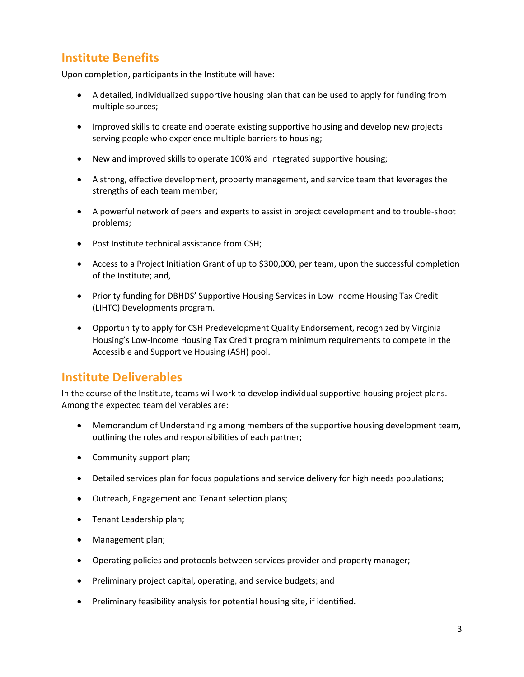### **Institute Benefits**

Upon completion, participants in the Institute will have:

- A detailed, individualized supportive housing plan that can be used to apply for funding from multiple sources;
- Improved skills to create and operate existing supportive housing and develop new projects serving people who experience multiple barriers to housing;
- New and improved skills to operate 100% and integrated supportive housing;
- A strong, effective development, property management, and service team that leverages the strengths of each team member;
- A powerful network of peers and experts to assist in project development and to trouble-shoot problems;
- Post Institute technical assistance from CSH;
- Access to a Project Initiation Grant of up to \$300,000, per team, upon the successful completion of the Institute; and,
- Priority funding for DBHDS' Supportive Housing Services in Low Income Housing Tax Credit (LIHTC) Developments program.
- Opportunity to apply for CSH Predevelopment Quality Endorsement, recognized by Virginia Housing's Low-Income Housing Tax Credit program minimum requirements to compete in the Accessible and Supportive Housing (ASH) pool.

#### **Institute Deliverables**

In the course of the Institute, teams will work to develop individual supportive housing project plans. Among the expected team deliverables are:

- Memorandum of Understanding among members of the supportive housing development team, outlining the roles and responsibilities of each partner;
- Community support plan;
- Detailed services plan for focus populations and service delivery for high needs populations;
- Outreach, Engagement and Tenant selection plans;
- Tenant Leadership plan;
- Management plan;
- Operating policies and protocols between services provider and property manager;
- Preliminary project capital, operating, and service budgets; and
- Preliminary feasibility analysis for potential housing site, if identified.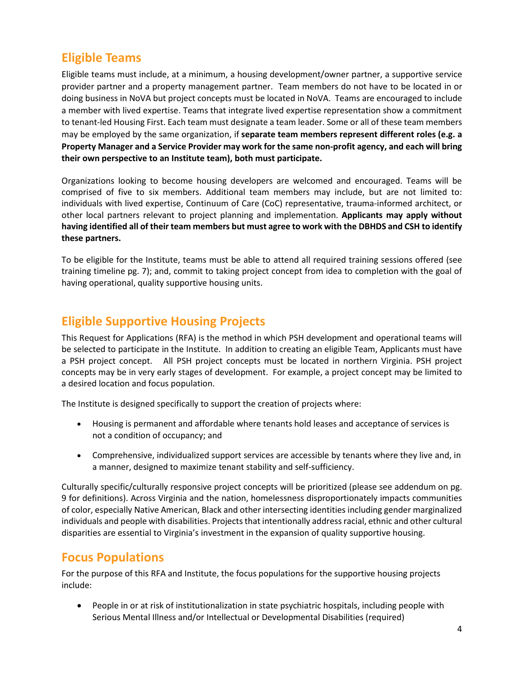### **Eligible Teams**

Eligible teams must include, at a minimum, a housing development/owner partner, a supportive service provider partner and a property management partner. Team members do not have to be located in or doing business in NoVA but project concepts must be located in NoVA. Teams are encouraged to include a member with lived expertise. Teams that integrate lived expertise representation show a commitment to tenant-led Housing First. Each team must designate a team leader. Some or all of these team members may be employed by the same organization, if **separate team members represent different roles (e.g. a Property Manager and a Service Provider may work for the same non-profit agency, and each will bring their own perspective to an Institute team), both must participate.** 

Organizations looking to become housing developers are welcomed and encouraged. Teams will be comprised of five to six members. Additional team members may include, but are not limited to: individuals with lived expertise, Continuum of Care (CoC) representative, trauma-informed architect, or other local partners relevant to project planning and implementation. **Applicants may apply without having identified all of their team members but must agree to work with the DBHDS and CSH to identify these partners.**

To be eligible for the Institute, teams must be able to attend all required training sessions offered (see training timeline pg. 7); and, commit to taking project concept from idea to completion with the goal of having operational, quality supportive housing units.

### **Eligible Supportive Housing Projects**

This Request for Applications (RFA) is the method in which PSH development and operational teams will be selected to participate in the Institute. In addition to creating an eligible Team, Applicants must have a PSH project concept. All PSH project concepts must be located in northern Virginia. PSH project concepts may be in very early stages of development. For example, a project concept may be limited to a desired location and focus population.

The Institute is designed specifically to support the creation of projects where:

- Housing is permanent and affordable where tenants hold leases and acceptance of services is not a condition of occupancy; and
- Comprehensive, individualized support services are accessible by tenants where they live and, in a manner, designed to maximize tenant stability and self-sufficiency.

Culturally specific/culturally responsive project concepts will be prioritized (please see addendum on pg. 9 for definitions). Across Virginia and the nation, homelessness disproportionately impacts communities of color, especially Native American, Black and other intersecting identities including gender marginalized individuals and people with disabilities. Projects that intentionally address racial, ethnic and other cultural disparities are essential to Virginia's investment in the expansion of quality supportive housing.

#### **Focus Populations**

For the purpose of this RFA and Institute, the focus populations for the supportive housing projects include:

• People in or at risk of institutionalization in state psychiatric hospitals, including people with Serious Mental Illness and/or Intellectual or Developmental Disabilities (required)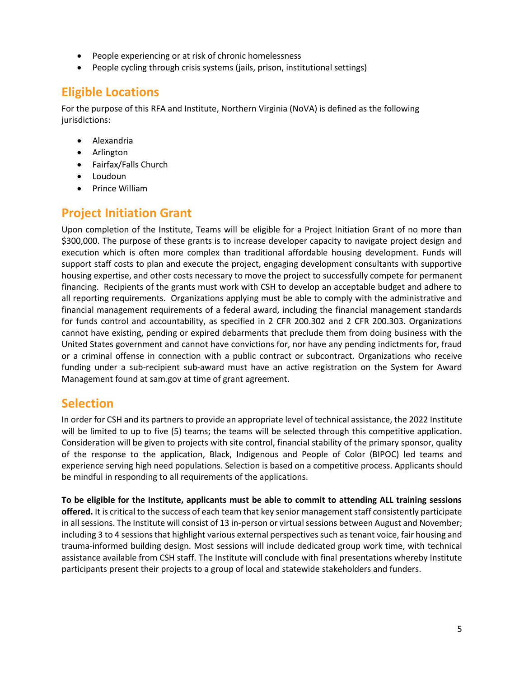- People experiencing or at risk of chronic homelessness
- People cycling through crisis systems (jails, prison, institutional settings)

### **Eligible Locations**

For the purpose of this RFA and Institute, Northern Virginia (NoVA) is defined as the following jurisdictions:

- Alexandria
- Arlington
- Fairfax/Falls Church
- Loudoun
- Prince William

#### **Project Initiation Grant**

Upon completion of the Institute, Teams will be eligible for a Project Initiation Grant of no more than \$300,000. The purpose of these grants is to increase developer capacity to navigate project design and execution which is often more complex than traditional affordable housing development. Funds will support staff costs to plan and execute the project, engaging development consultants with supportive housing expertise, and other costs necessary to move the project to successfully compete for permanent financing. Recipients of the grants must work with CSH to develop an acceptable budget and adhere to all reporting requirements. Organizations applying must be able to comply with the administrative and financial management requirements of a federal award, including the financial management standards for funds control and accountability, as specified in 2 CFR 200.302 and 2 CFR 200.303. Organizations cannot have existing, pending or expired debarments that preclude them from doing business with the United States government and cannot have convictions for, nor have any pending indictments for, fraud or a criminal offense in connection with a public contract or subcontract. Organizations who receive funding under a sub-recipient sub-award must have an active registration on the System for Award Management found at sam.gov at time of grant agreement.

#### **Selection**

In order for CSH and its partners to provide an appropriate level of technical assistance, the 2022 Institute will be limited to up to five (5) teams; the teams will be selected through this competitive application. Consideration will be given to projects with site control, financial stability of the primary sponsor, quality of the response to the application, Black, Indigenous and People of Color (BIPOC) led teams and experience serving high need populations. Selection is based on a competitive process. Applicants should be mindful in responding to all requirements of the applications.

**To be eligible for the Institute, applicants must be able to commit to attending ALL training sessions offered.** It is critical to the success of each team that key senior management staff consistently participate in all sessions. The Institute will consist of 13 in-person or virtual sessions between August and November; including 3 to 4 sessions that highlight various external perspectives such as tenant voice, fair housing and trauma-informed building design. Most sessions will include dedicated group work time, with technical assistance available from CSH staff. The Institute will conclude with final presentations whereby Institute participants present their projects to a group of local and statewide stakeholders and funders.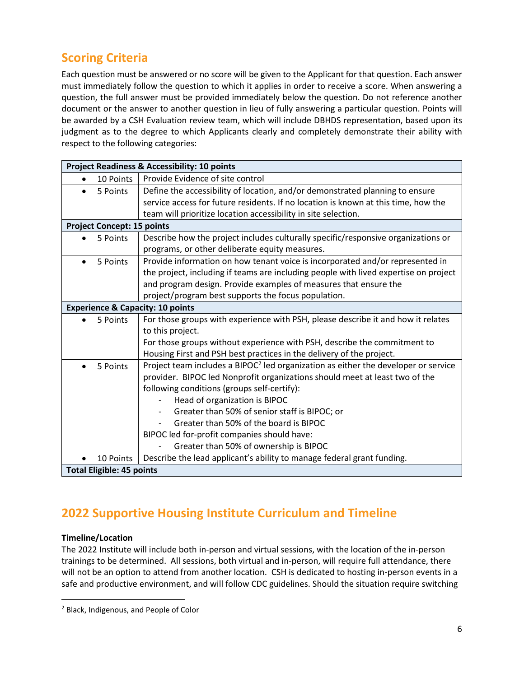# **Scoring Criteria**

Each question must be answered or no score will be given to the Applicant for that question. Each answer must immediately follow the question to which it applies in order to receive a score. When answering a question, the full answer must be provided immediately below the question. Do not reference another document or the answer to another question in lieu of fully answering a particular question. Points will be awarded by a CSH Evaluation review team, which will include DBHDS representation, based upon its judgment as to the degree to which Applicants clearly and completely demonstrate their ability with respect to the following categories:

| <b>Project Readiness &amp; Accessibility: 10 points</b> |                                                                             |                                                                                                |  |  |
|---------------------------------------------------------|-----------------------------------------------------------------------------|------------------------------------------------------------------------------------------------|--|--|
| $\bullet$                                               | 10 Points                                                                   | Provide Evidence of site control                                                               |  |  |
|                                                         | 5 Points                                                                    | Define the accessibility of location, and/or demonstrated planning to ensure                   |  |  |
|                                                         |                                                                             | service access for future residents. If no location is known at this time, how the             |  |  |
|                                                         |                                                                             | team will prioritize location accessibility in site selection.                                 |  |  |
| <b>Project Concept: 15 points</b>                       |                                                                             |                                                                                                |  |  |
|                                                         | 5 Points                                                                    | Describe how the project includes culturally specific/responsive organizations or              |  |  |
|                                                         |                                                                             | programs, or other deliberate equity measures.                                                 |  |  |
| $\bullet$                                               | 5 Points                                                                    | Provide information on how tenant voice is incorporated and/or represented in                  |  |  |
|                                                         |                                                                             | the project, including if teams are including people with lived expertise on project           |  |  |
|                                                         |                                                                             | and program design. Provide examples of measures that ensure the                               |  |  |
|                                                         |                                                                             | project/program best supports the focus population.                                            |  |  |
| <b>Experience &amp; Capacity: 10 points</b>             |                                                                             |                                                                                                |  |  |
|                                                         | 5 Points                                                                    | For those groups with experience with PSH, please describe it and how it relates               |  |  |
|                                                         |                                                                             | to this project.                                                                               |  |  |
|                                                         |                                                                             | For those groups without experience with PSH, describe the commitment to                       |  |  |
|                                                         |                                                                             | Housing First and PSH best practices in the delivery of the project.                           |  |  |
|                                                         | 5 Points                                                                    | Project team includes a BIPOC <sup>2</sup> led organization as either the developer or service |  |  |
|                                                         | provider. BIPOC led Nonprofit organizations should meet at least two of the |                                                                                                |  |  |
|                                                         |                                                                             | following conditions (groups self-certify):                                                    |  |  |
|                                                         |                                                                             | Head of organization is BIPOC                                                                  |  |  |
|                                                         |                                                                             | Greater than 50% of senior staff is BIPOC; or                                                  |  |  |
|                                                         |                                                                             | Greater than 50% of the board is BIPOC                                                         |  |  |
|                                                         |                                                                             | BIPOC led for-profit companies should have:                                                    |  |  |
|                                                         |                                                                             | Greater than 50% of ownership is BIPOC                                                         |  |  |
|                                                         | 10 Points                                                                   | Describe the lead applicant's ability to manage federal grant funding.                         |  |  |
| <b>Total Eligible: 45 points</b>                        |                                                                             |                                                                                                |  |  |

# **2022 Supportive Housing Institute Curriculum and Timeline**

#### **Timeline/Location**

 $\overline{\phantom{a}}$ 

The 2022 Institute will include both in-person and virtual sessions, with the location of the in-person trainings to be determined. All sessions, both virtual and in-person, will require full attendance, there will not be an option to attend from another location. CSH is dedicated to hosting in-person events in a safe and productive environment, and will follow CDC guidelines. Should the situation require switching

<sup>2</sup> Black, Indigenous, and People of Color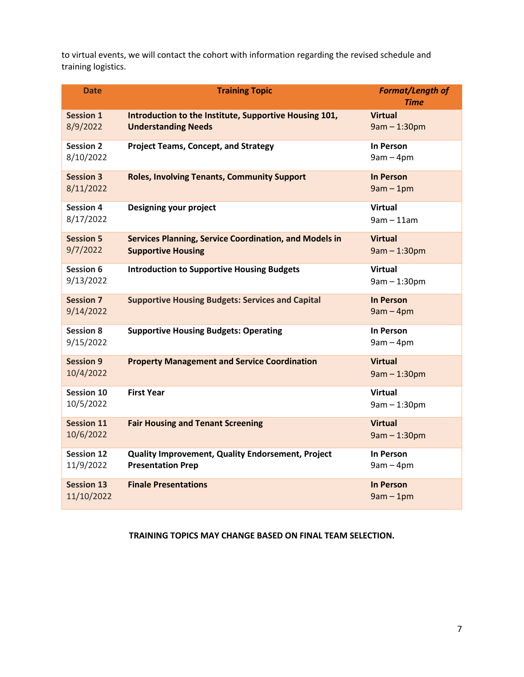to virtual events, we will contact the cohort with information regarding the revised schedule and training logistics.

| <b>Date</b>                     | <b>Training Topic</b>                                                                      | Format/Length of<br><b>Time</b>  |
|---------------------------------|--------------------------------------------------------------------------------------------|----------------------------------|
| <b>Session 1</b><br>8/9/2022    | Introduction to the Institute, Supportive Housing 101,<br><b>Understanding Needs</b>       | <b>Virtual</b><br>$9am - 1:30pm$ |
| <b>Session 2</b><br>8/10/2022   | <b>Project Teams, Concept, and Strategy</b>                                                | <b>In Person</b><br>$9am - 4pm$  |
| <b>Session 3</b><br>8/11/2022   | <b>Roles, Involving Tenants, Community Support</b>                                         | <b>In Person</b><br>$9am - 1pm$  |
| <b>Session 4</b><br>8/17/2022   | Designing your project                                                                     | <b>Virtual</b><br>$9am - 11am$   |
| <b>Session 5</b><br>9/7/2022    | <b>Services Planning, Service Coordination, and Models in</b><br><b>Supportive Housing</b> | <b>Virtual</b><br>$9am - 1:30pm$ |
| <b>Session 6</b><br>9/13/2022   | <b>Introduction to Supportive Housing Budgets</b>                                          | <b>Virtual</b><br>$9am - 1:30pm$ |
| <b>Session 7</b><br>9/14/2022   | <b>Supportive Housing Budgets: Services and Capital</b>                                    | <b>In Person</b><br>$9am - 4pm$  |
| <b>Session 8</b><br>9/15/2022   | <b>Supportive Housing Budgets: Operating</b>                                               | In Person<br>$9am - 4pm$         |
| <b>Session 9</b><br>10/4/2022   | <b>Property Management and Service Coordination</b>                                        | <b>Virtual</b><br>$9am - 1:30pm$ |
| <b>Session 10</b><br>10/5/2022  | <b>First Year</b>                                                                          | <b>Virtual</b><br>$9am - 1:30pm$ |
| <b>Session 11</b><br>10/6/2022  | <b>Fair Housing and Tenant Screening</b>                                                   | <b>Virtual</b><br>$9am - 1:30pm$ |
| <b>Session 12</b><br>11/9/2022  | Quality Improvement, Quality Endorsement, Project<br><b>Presentation Prep</b>              | In Person<br>$9am - 4pm$         |
| <b>Session 13</b><br>11/10/2022 | <b>Finale Presentations</b>                                                                | <b>In Person</b><br>$9am - 1pm$  |

**TRAINING TOPICS MAY CHANGE BASED ON FINAL TEAM SELECTION.**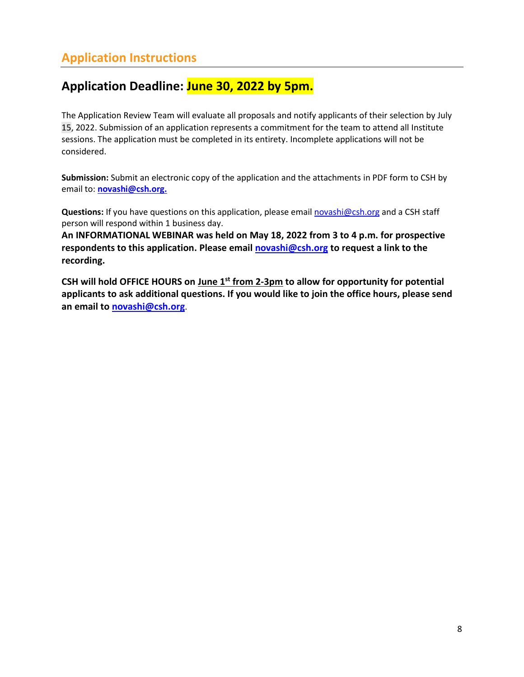## **Application Deadline: June 30, 2022 by 5pm.**

The Application Review Team will evaluate all proposals and notify applicants of their selection by July 15, 2022. Submission of an application represents a commitment for the team to attend all Institute sessions. The application must be completed in its entirety. Incomplete applications will not be considered.

**Submission:** Submit an electronic copy of the application and the attachments in PDF form to CSH by email to: **novashi@csh.org.**

Questions: If you have questions on this application, please email [novashi@csh.org](mailto:novashi@csh.org) and a CSH staff person will respond within 1 business day.

**An INFORMATIONAL WEBINAR was held on May 18, 2022 from 3 to 4 p.m. for prospective respondents to this application. Please email [novashi@csh.org](mailto:novashi@csh.org) to request a link to the recording.** 

**CSH will hold OFFICE HOURS on June 1st from 2-3pm to allow for opportunity for potential applicants to ask additional questions. If you would like to join the office hours, please send an email t[o novashi@csh.org](mailto:novashi@csh.org)**.